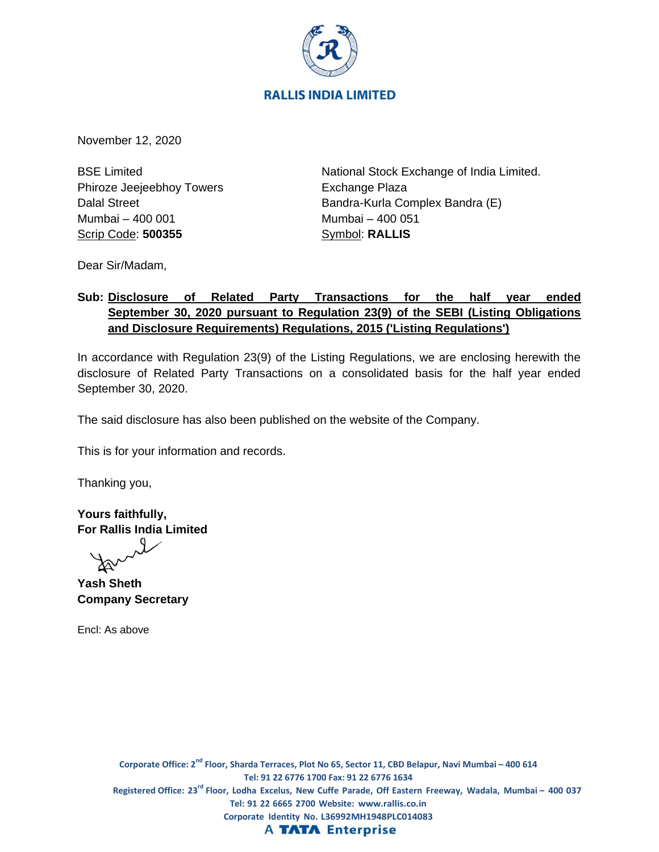

November 12, 2020

BSE Limited Phiroze Jeejeebhoy Towers Dalal Street Mumbai – 400 001 Scrip Code: **500355**

National Stock Exchange of India Limited. Exchange Plaza Bandra-Kurla Complex Bandra (E) Mumbai – 400 051 Symbol: **RALLIS**

Dear Sir/Madam,

# **Sub: Disclosure of Related Party Transactions for the half year ended September 30, 2020 pursuant to Regulation 23(9) of the SEBI (Listing Obligations and Disclosure Requirements) Regulations, 2015 ('Listing Regulations')**

In accordance with Regulation 23(9) of the Listing Regulations, we are enclosing herewith the disclosure of Related Party Transactions on a consolidated basis for the half year ended September 30, 2020.

The said disclosure has also been published on the website of the Company.

This is for your information and records.

Thanking you,

**Yours faithfully, For Rallis India Limited**

**Yash Sheth Company Secretary**

Encl: As above

**Corporate Office: 2 nd Floor, Sharda Terraces, Plot No 65, Sector 11, CBD Belapur, Navi Mumbai – 400 614 Tel: 91 22 6776 1700 Fax: 91 22 6776 1634** Registered Office: 23<sup>rd</sup> Floor, Lodha Excelus, New Cuffe Parade, Off Eastern Freeway, Wadala, Mumbai – 400 037 **Tel: 91 22 6665 2700 Website: www.rallis.co.in Corporate Identity No. L36992MH1948PLC014083 A TATA Enterprise**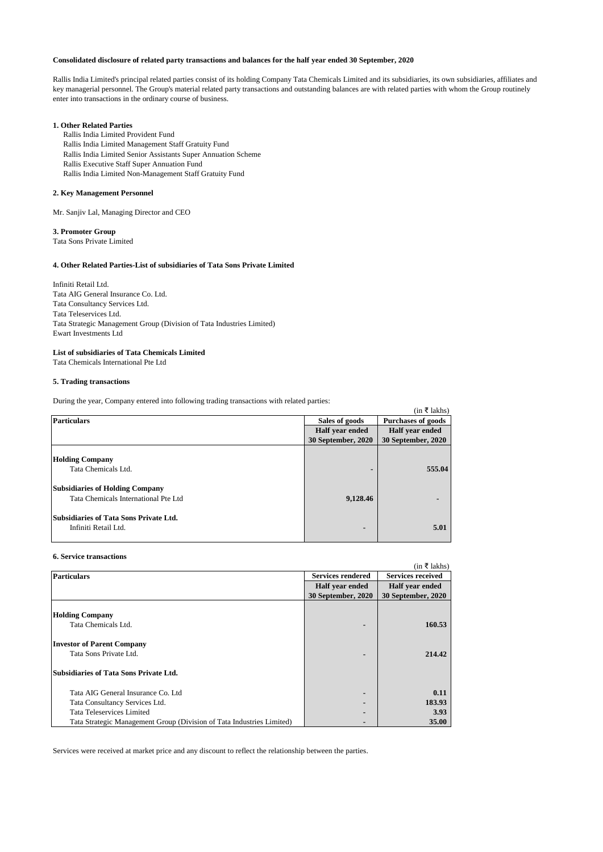## **Consolidated disclosure of related party transactions and balances for the half year ended 30 September, 2020**

Rallis India Limited's principal related parties consist of its holding Company Tata Chemicals Limited and its subsidiaries, its own subsidiaries, affiliates and key managerial personnel. The Group's material related party transactions and outstanding balances are with related parties with whom the Group routinely enter into transactions in the ordinary course of business.

## **1. Other Related Parties**

Rallis India Limited Provident Fund

- Rallis India Limited Management Staff Gratuity Fund
- Rallis India Limited Senior Assistants Super Annuation Scheme
- Rallis Executive Staff Super Annuation Fund
- Rallis India Limited Non-Management Staff Gratuity Fund

## **2. Key Management Personnel**

Mr. Sanjiv Lal, Managing Director and CEO

### **3. Promoter Group**

Tata Sons Private Limited

# **4. Other Related Parties-List of subsidiaries of Tata Sons Private Limited**

Infiniti Retail Ltd. Tata AIG General Insurance Co. Ltd. Tata Consultancy Services Ltd. Tata Teleservices Ltd. Tata Strategic Management Group (Division of Tata Industries Limited) Ewart Investments Ltd

# **List of subsidiaries of Tata Chemicals Limited**

Tata Chemicals International Pte Ltd

# **5. Trading transactions**

During the year, Company entered into following trading transactions with related parties:

|                                        |                    | (in ₹ lakhs)              |
|----------------------------------------|--------------------|---------------------------|
| <b>Particulars</b>                     | Sales of goods     | <b>Purchases of goods</b> |
|                                        | Half year ended    | Half year ended           |
|                                        | 30 September, 2020 | 30 September, 2020        |
|                                        |                    |                           |
| <b>Holding Company</b>                 |                    |                           |
| Tata Chemicals Ltd.                    |                    | 555.04                    |
| <b>Subsidiaries of Holding Company</b> |                    |                           |
| Tata Chemicals International Pte Ltd   | 9,128.46           |                           |
| Subsidiaries of Tata Sons Private Ltd. |                    |                           |
| Infiniti Retail Ltd.                   | ٠                  | 5.01                      |

### **6. Service transactions**

| v. oci vice u ansaetivno                                              |                          |                          |
|-----------------------------------------------------------------------|--------------------------|--------------------------|
|                                                                       |                          | $(in \; \t{5}$ lakhs)    |
| <b>Particulars</b>                                                    | <b>Services rendered</b> | <b>Services received</b> |
|                                                                       | Half year ended          | Half year ended          |
|                                                                       | 30 September, 2020       | 30 September, 2020       |
|                                                                       |                          |                          |
| <b>Holding Company</b>                                                |                          |                          |
| Tata Chemicals Ltd.                                                   | -                        | 160.53                   |
| <b>Investor of Parent Company</b>                                     |                          |                          |
| Tata Sons Private Ltd.                                                | -                        | 214.42                   |
| Subsidiaries of Tata Sons Private Ltd.                                |                          |                          |
| Tata AIG General Insurance Co. Ltd.                                   | -                        | 0.11                     |
| Tata Consultancy Services Ltd.                                        |                          | 183.93                   |
| Tata Teleservices Limited                                             | -                        | 3.93                     |
| Tata Strategic Management Group (Division of Tata Industries Limited) | -                        | 35.00                    |

Services were received at market price and any discount to reflect the relationship between the parties.